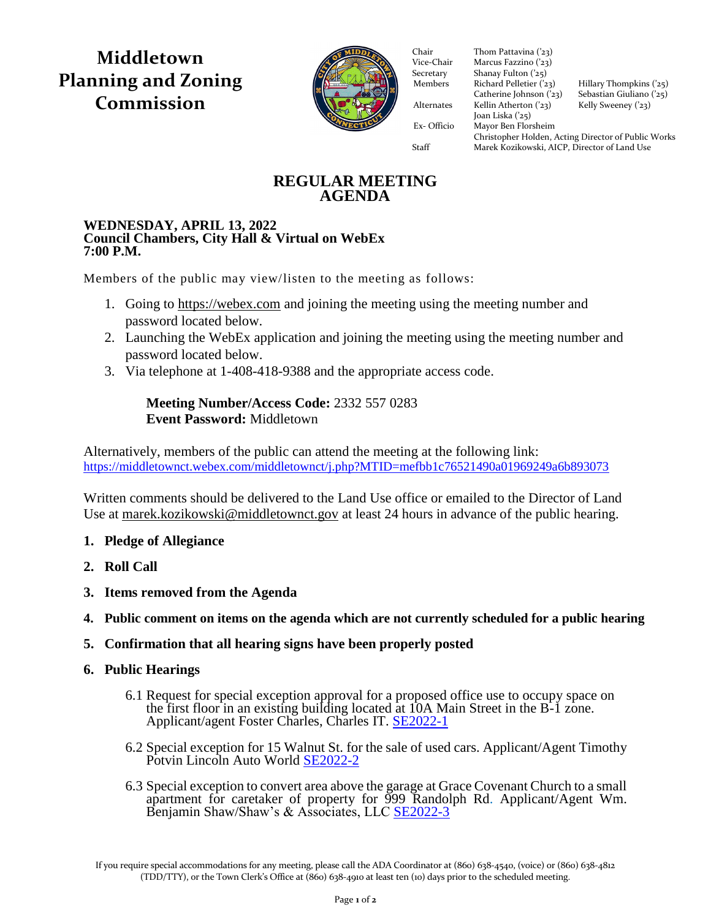**Middletown Planning and Zoning Commission**



Vice-Chair Nicholas Fazzino ('21) Vice-Chair Marcus Fazzino ('23) Secretary Shanay Fulton ('25) Secretary Shanay Fulton ('25)<br>Members Richard Pelletier ('23) Catherine Johnson  $('23)$  Sebastian Giuliano  $('25)$ Alternates Kellin Atherton ('23) Kelly Sweeney ('23) Joan Liska ('25) Ex- Officio Mayor Ben Florsheim Ex- Officio Mayor Ben Florsheim Chair Thom Pattavina ('23)<br>Vice-Chair Marcus Fazzino ('23) Hillary Thompkins ('25)<br>Sebastian Giuliano ('25) Christopher Holden, Acting Director of Public Works Staff Marek Kozikowski, AICP, Director of Land Use

# **REGULAR MEETING AGENDA**

### **WEDNESDAY, APRIL 13, 2022 Council Chambers, City Hall & Virtual on WebEx 7:00 P.M.**

Members of the public may view/listen to the meeting as follows:

- 1. Going to [https://webex.com](https://webex.com/) and joining the meeting using the meeting number and password located below.
- 2. Launching the WebEx application and joining the meeting using the meeting number and password located below.
- 3. Via telephone at 1-408-418-9388 and the appropriate access code.

## **Meeting Number/Access Code:** 2332 557 0283 **Event Password:** Middletown

Alternatively, members of the public can attend the meeting at the following link: <https://middletownct.webex.com/middletownct/j.php?MTID=mefbb1c76521490a01969249a6b893073>

Written comments should be delivered to the Land Use office or emailed to the Director of Land Use at [marek.kozikowski@middletownct.gov](mailto:marek.kozikowski@middletownct.gov) at least 24 hours in advance of the public hearing.

## **1. Pledge of Allegiance**

- **2. Roll Call**
- **3. Items removed from the Agenda**
- **4. Public comment on items on the agenda which are not currently scheduled for a public hearing**
- **5. Confirmation that all hearing signs have been properly posted**
- **6. Public Hearings**
	- 6.1 Request for special exception approval for a proposed office use to occupy space on the first floor in an existing building located at 10A Main Street in the B-1 zone. Applicant/agent Foster Charles, Charles IT. [SE2022-1](https://middletownct.box.com/s/qx624i2lt4nyqw1foxauhmfnrpr4a04n)
	- 6.2 Special exception for 15 Walnut St. for the sale of used cars. Applicant/Agent Timothy Potvin Lincoln Auto World [SE2022-2](https://middletownct.box.com/s/ie0fcpqjd1meltka1er82nqkwgx32jtn)
	- 6.3 Special exception to convert area above the garage at Grace Covenant Church to a small apartment for caretaker of property for 999 Randolph Rd. Applicant/Agent Wm. Benjamin Shaw/Shaw's & Associates, LLC [SE2022-3](https://middletownct.box.com/s/25qi76e50m1hcflta8a6b70ioms5vrgg)

If you require special accommodations for any meeting, please call the ADA Coordinator at (860) 638-4540, (voice) or (860) 638-4812 (TDD/TTY), or the Town Clerk's Office at (860) 638-4910 at least ten (10) days prior to the scheduled meeting.